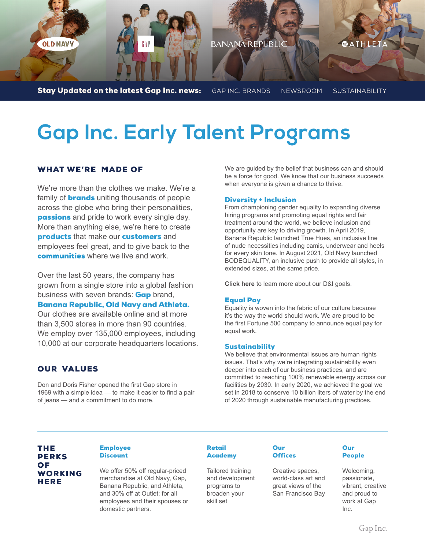

# **Gap Inc. Early Talent Programs**

## WHAT WE'RE MADE OF

We're more than the clothes we make. We're a family of **brands** uniting thousands of people across the globe who bring their personalities, **passions** and pride to work every single day. More than anything else, we're here to create products that make our customers and employees feel great, and to give back to the communities where we live and work.

Over the last 50 years, the company has grown from a single store into a global fashion business with seven brands: **Gap** brand,

### Banana Republic, Old Navy and Athleta.

Our clothes are available online and at more than 3,500 stores in more than 90 countries. We employ over 135,000 employees, including 10,000 at our corporate headquarters locations.

## OUR VALUES

Don and Doris Fisher opened the first Gap store in 1969 with a simple idea — to make it easier to find a pair of jeans — and a commitment to do more.

We are guided by the belief that business can and should be a force for good. We know that our business succeeds when everyone is given a chance to thrive.

#### Diversity + Inclusion

From championing gender equality to expanding diverse hiring programs and promoting equal rights and fair treatment around the world, we believe inclusion and opportunity are key to driving growth. In April 2019, Banana Republic launched True Hues, an inclusive line of nude necessities including camis, underwear and heels for every skin tone. In August 2021, Old Navy launched BODEQUALITY, an inclusive push to provide all styles, in extended sizes, at the same price.

**[Click here](https://www.gapinc.com/en-us/values/equality-belonging)** to learn more about our D&I goals.

#### Equal Pay

Equality is woven into the fabric of our culture because it's the way the world should work. We are proud to be the first Fortune 500 company to announce equal pay for equal work.

#### **Sustainability**

We believe that environmental issues are human rights issues. That's why we're integrating sustainability even deeper into each of our business practices, and are committed to reaching 100% renewable energy across our facilities by 2030. In early 2020, we achieved the goal we set in 2018 to conserve 10 billion liters of water by the end of 2020 through sustainable manufacturing practices.

## THE PERKS OF WORKING **HERE**

#### Employee **Discount**

We offer 50% off regular-priced merchandise at Old Navy, Gap, Banana Republic, and Athleta, and 30% off at Outlet; for all employees and their spouses or domestic partners.

#### Retail **Academy**

Tailored training and development programs to broaden your skill set

#### Our **Offices**

Creative spaces, world-class art and great views of the San Francisco Bay

#### **Our** People

Welcoming, passionate, vibrant, creative and proud to work at Gap Inc.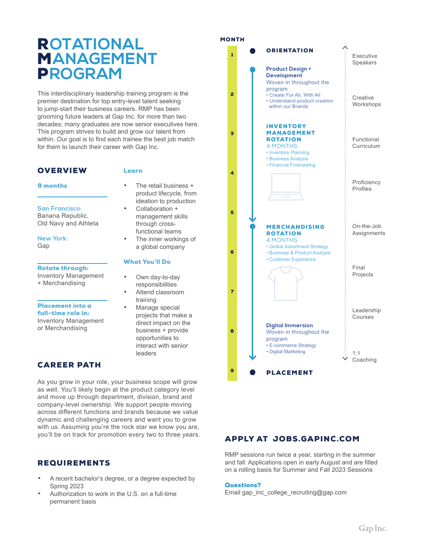## R**OTATIONAL** M**ANAGEMENT** P**ROGRAM**

This interdisciplinary leadership training program is the premier destination for top entry-level talent seeking to jump-start their business careers. RMP has been grooming future leaders at Gap Inc. for more than two decades; many graduates are now senior executives here. This program strives to build and grow our talent from within. Our goal is to find each trainee the best job match for them to launch their career with Gap Inc.

## **OVERVIEW**

#### Learn

What You'll Do

training Manage special projects that make a direct impact on the business + provide opportunities to interact with senior

leaders

Own day-to-day responsibilities • Attend classroom

• The retail business + product lifecycle, from ideation to production • Collaboration + management skills through crossfunctional teams The inner workings of a global company

9 months

**San Francisco:** Banana Republic, Old Navy and Athleta

**New York:** Gap

#### Rotate through:

Inventory Management + Merchandising

Placement into a full-time role in:

Inventory Management or Merchandising

## CAREER PATH

As you grow in your role, your business scope will grow as well. You'll likely begin at the product category level and move up through department, division, brand and company-level ownership. We support people moving across different functions and brands because we value dynamic and challenging careers and want you to grow with us. Assuming you're the rock star we know you are, you'll be on track for promotion every two to three years.

## REQUIREMENTS

- A recent bachelor's degree, or a degree expected by Spring 2023
- Authorization to work in the U.S. on a full-time permanent basis

#### MONTH



## APPLY AT JOBS.GAPINC.COM

RMP sessions run twice a year, starting in the summer and fall. Applications open in early August and are filled on a rolling basis for Summer and Fall 2023 Sessions

#### Questions?

[Email gap\\_inc\\_college\\_recruiting@gap.com](mailto: gap_inc_college_recruiting@gap.com?subject=RMP 2nd Round Project [Insert First and Last Name here))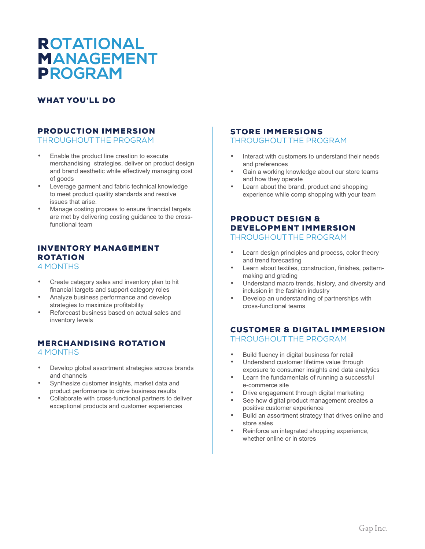## R**OTATIONAL**  M**ANAGEMENT**  P**ROGRAM**

## WHAT YOU'LL DO

## PRODUCTION IMMERSION

THROUGHOUT THE PROGRAM

- Enable the product line creation to execute merchandising strategies, deliver on product design and brand aesthetic while effectively managing cost of goods
- Leverage garment and fabric technical knowledge to meet product quality standards and resolve issues that arise.
- Manage costing process to ensure financial targets are met by delivering costing guidance to the crossfunctional team

## INVENTORY MANAGEMENT ROTATION

4 MONTHS

- Create category sales and inventory plan to hit financial targets and support category roles
- Analyze business performance and develop strategies to maximize profitability
- Reforecast business based on actual sales and inventory levels

### MERCHANDISING ROTATION 4 MONTHS

- Develop global assortment strategies across brands and channels
- Synthesize customer insights, market data and product performance to drive business results
- Collaborate with cross-functional partners to deliver exceptional products and customer experiences

### STORE IMMERSIONS THROUGHOUT THE PROGRAM

- Interact with customers to understand their needs and preferences
- Gain a working knowledge about our store teams and how they operate
- Learn about the brand, product and shopping experience while comp shopping with your team

#### PRODUCT DESIGN & DEVELOPMENT IMMERSION THROUGHOUT THE PROGRAM

- Learn design principles and process, color theory and trend forecasting
- Learn about textiles, construction, finishes, patternmaking and grading
- Understand macro trends, history, and diversity and inclusion in the fashion industry
- Develop an understanding of partnerships with cross-functional teams

## CUSTOMER & DIGITAL IMMERSION THROUGHOUT THE PROGRAM

- Build fluency in digital business for retail<br>• Understand customer lifetime value through
- Understand customer lifetime value through exposure to consumer insights and data analytics
- Learn the fundamentals of running a successful e-commerce site
- Drive engagement through digital marketing
- See how digital product management creates a positive customer experience
- Build an assortment strategy that drives online and store sales
- Reinforce an integrated shopping experience, whether online or in stores